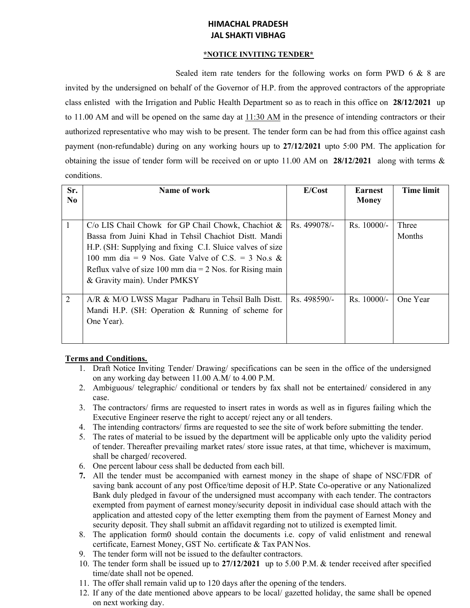## **HIMACHAL PRADESH JAL SHAKTI VIBHAG**

### **\*NOTICE INVITING TENDER\***

Sealed item rate tenders for the following works on form PWD 6 & 8 are invited by the undersigned on behalf of the Governor of H.P. from the approved contractors of the appropriate class enlisted with the Irrigation and Public Health Department so as to reach in this office on **28/12/2021** up to 11.00 AM and will be opened on the same day at 11:30 AM in the presence of intending contractors or their authorized representative who may wish to be present. The tender form can be had from this office against cash payment (non-refundable) during on any working hours up to **27/12/2021** upto 5:00 PM. The application for obtaining the issue of tender form will be received on or upto 11.00 AM on **28/12/2021** along with terms & conditions.

| Sr.<br>No. | Name of work                                                                                                                                                                                                                                                                                                                                        | E/Cost       | <b>Earnest</b><br><b>Money</b> | <b>Time limit</b> |
|------------|-----------------------------------------------------------------------------------------------------------------------------------------------------------------------------------------------------------------------------------------------------------------------------------------------------------------------------------------------------|--------------|--------------------------------|-------------------|
|            | $C/\text{o}$ LIS Chail Chowk for GP Chail Chowk, Chachiot &   Rs. 499078/-<br>Bassa from Juini Khad in Tehsil Chachiot Distt. Mandi<br>H.P. (SH: Supplying and fixing C.I. Sluice valves of size<br>100 mm dia = 9 Nos. Gate Valve of C.S. = 3 No.s &<br>Reflux valve of size 100 mm dia = $2$ Nos. for Rising main<br>& Gravity main). Under PMKSY |              | $Rs. 10000/-$                  | Three<br>Months   |
| 2          | A/R & M/O LWSS Magar Padharu in Tehsil Balh Distt.<br>Mandi H.P. (SH: Operation & Running of scheme for<br>One Year).                                                                                                                                                                                                                               | Rs. 498590/- | $\text{Rs.} 10000/-$           | One Year          |

# **Terms and Conditions.**

- 1. Draft Notice Inviting Tender/ Drawing/ specifications can be seen in the office of the undersigned on any working day between 11.00 A.M/ to 4.00 P.M.
- 2. Ambiguous/ telegraphic/ conditional or tenders by fax shall not be entertained/ considered in any case.
- 3. The contractors/ firms are requested to insert rates in words as well as in figures failing which the Executive Engineer reserve the right to accept/ reject any or all tenders.
- 4. The intending contractors/ firms are requested to see the site of work before submitting the tender.
- 5. The rates of material to be issued by the department will be applicable only upto the validity period of tender. Thereafter prevailing market rates/ store issue rates, at that time, whichever is maximum, shall be charged/ recovered.
- 6. One percent labour cess shall be deducted from each bill.
- **7.** All the tender must be accompanied with earnest money in the shape of shape of NSC/FDR of saving bank account of any post Office/time deposit of H.P. State Co-operative or any Nationalized Bank duly pledged in favour of the undersigned must accompany with each tender. The contractors exempted from payment of earnest money/security deposit in individual case should attach with the application and attested copy of the letter exempting them from the payment of Earnest Money and security deposit. They shall submit an affidavit regarding not to utilized is exempted limit.
- 8. The application form0 should contain the documents i.e. copy of valid enlistment and renewal certificate, Earnest Money, GST No. certificate & Tax PAN Nos.
- 9. The tender form will not be issued to the defaulter contractors.
- 10. The tender form shall be issued up to **27/12/2021** up to 5.00 P.M. & tender received after specified time/date shall not be opened.
- 11. The offer shall remain valid up to 120 days after the opening of the tenders.
- 12. If any of the date mentioned above appears to be local/ gazetted holiday, the same shall be opened on next working day.